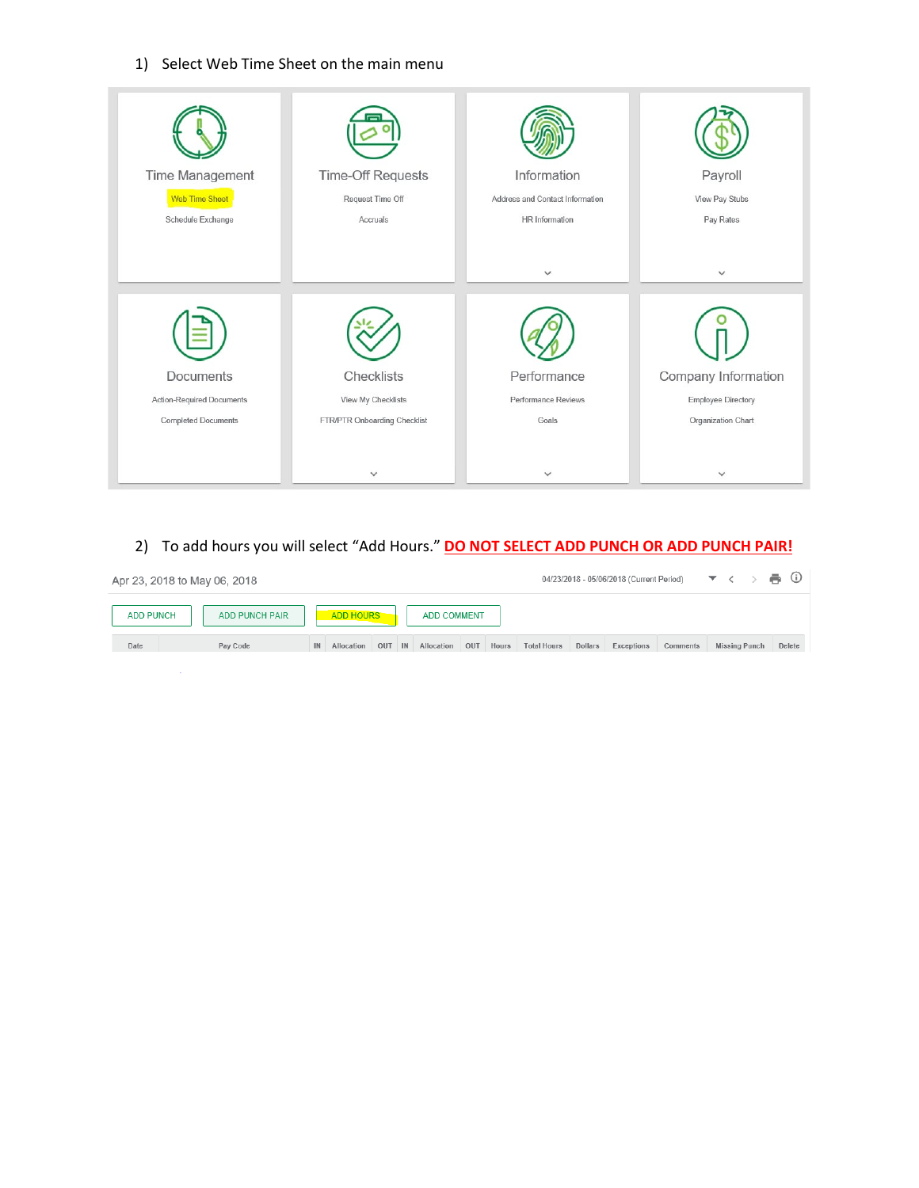## 1) Select Web Time Sheet on the main menu

| Time Management            | <b>Time-Off Requests</b>     | Information                     | Payroll                   |  |  |
|----------------------------|------------------------------|---------------------------------|---------------------------|--|--|
| <b>Web Time Sheet</b>      | Request Time Off             | Address and Contact Information | View Pay Stubs            |  |  |
| Schedule Exchange          | Accruals                     | HR Information                  | Pay Rates                 |  |  |
|                            |                              | $\checkmark$                    | $\checkmark$              |  |  |
|                            |                              |                                 |                           |  |  |
| Documents                  | Checklists                   | Performance                     | Company Information       |  |  |
| Action-Required Documents  | View My Checklists           | Performance Reviews             | <b>Employee Directory</b> |  |  |
| <b>Completed Documents</b> | FTR/PTR Onboarding Checklist | Goals                           | Organization Chart        |  |  |
|                            | $\checkmark$                 | $\checkmark$                    | $\checkmark$              |  |  |

## 2) To add hours you will select "Add Hours." **DO NOT SELECT ADD PUNCH OR ADD PUNCH PAIR!**

| Apr 23, 2018 to May 06, 2018 |                       |    |                  |     |    |                    |     |       | 04/23/2018 - 05/06/2018 (Current Period) |         |            |          | $\blacktriangledown$ $\iff$ $\blacktriangledown$ $\bowtie$ |        |
|------------------------------|-----------------------|----|------------------|-----|----|--------------------|-----|-------|------------------------------------------|---------|------------|----------|------------------------------------------------------------|--------|
| <b>ADD PUNCH</b>             | <b>ADD PUNCH PAIR</b> |    | <b>ADD HOURS</b> |     |    | <b>ADD COMMENT</b> |     |       |                                          |         |            |          |                                                            |        |
| Date                         | Pay Code              | IN | Allocation       | OUT | IN | Allocation         | OUT | Hours | <b>Total Hours</b>                       | Dollars | Exceptions | Comments | <b>Missing Punch</b>                                       | Delete |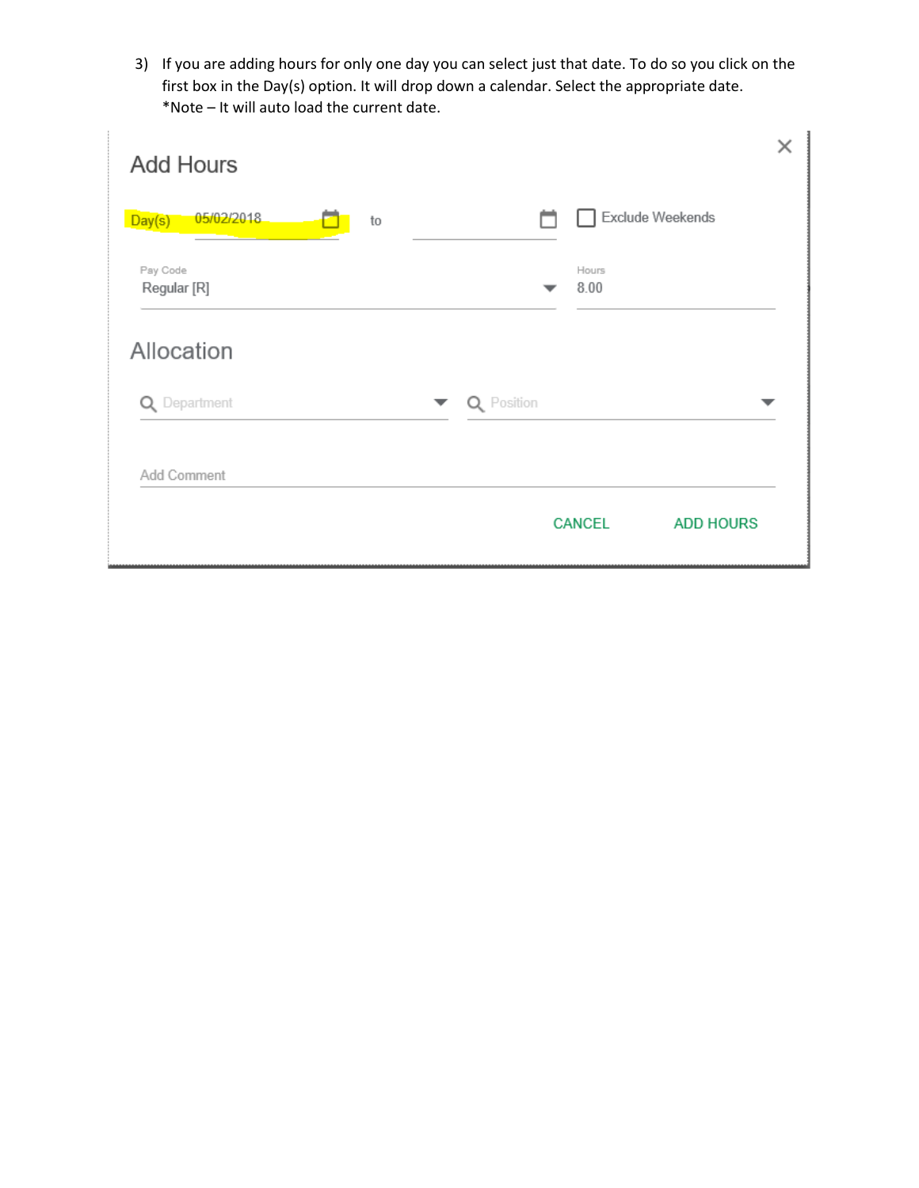3) If you are adding hours for only one day you can select just that date. To do so you click on the first box in the Day(s) option. It will drop down a calendar. Select the appropriate date. \*Note – It will auto load the current date.

| <b>Add Hours</b>           |                                   | × |
|----------------------------|-----------------------------------|---|
| 05/02/2018<br>Day(s)<br>to | Exclude Weekends                  |   |
| Pay Code<br>Regular [R]    | Hours<br>8.00                     |   |
| Allocation                 |                                   |   |
| Q Department               | Q Position<br>▼                   |   |
| Add Comment                |                                   |   |
|                            | <b>CANCEL</b><br><b>ADD HOURS</b> |   |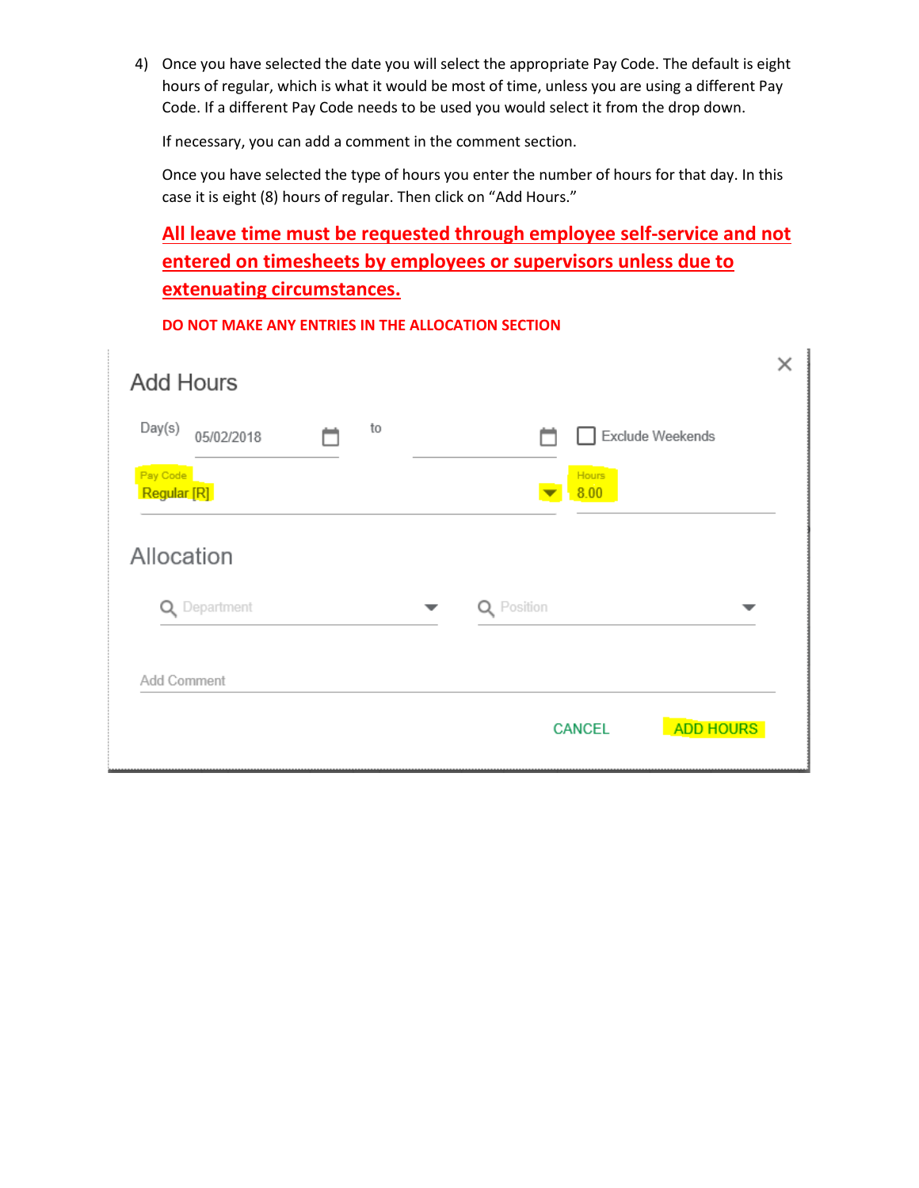4) Once you have selected the date you will select the appropriate Pay Code. The default is eight hours of regular, which is what it would be most of time, unless you are using a different Pay Code. If a different Pay Code needs to be used you would select it from the drop down.

If necessary, you can add a comment in the comment section.

Once you have selected the type of hours you enter the number of hours for that day. In this case it is eight (8) hours of regular. Then click on "Add Hours."

## **All leave time must be requested through employee self-service and not entered on timesheets by employees or supervisors unless due to extenuating circumstances.**

| <b>Add Hours</b>                 |    |               |               |                  |   | × |
|----------------------------------|----|---------------|---------------|------------------|---|---|
| Day(s)<br>05/02/2018<br>Pay Code | to |               | Hours         | Exclude Weekends |   |   |
| Regular [R]<br>Allocation        |    |               | 8.00          |                  |   |   |
| Department<br>Q                  |    | Position<br>Q |               |                  | ▼ |   |
| Add Comment                      |    |               |               |                  |   |   |
|                                  |    |               | <b>CANCEL</b> | <b>ADD HOURS</b> |   |   |

**DO NOT MAKE ANY ENTRIES IN THE ALLOCATION SECTION**